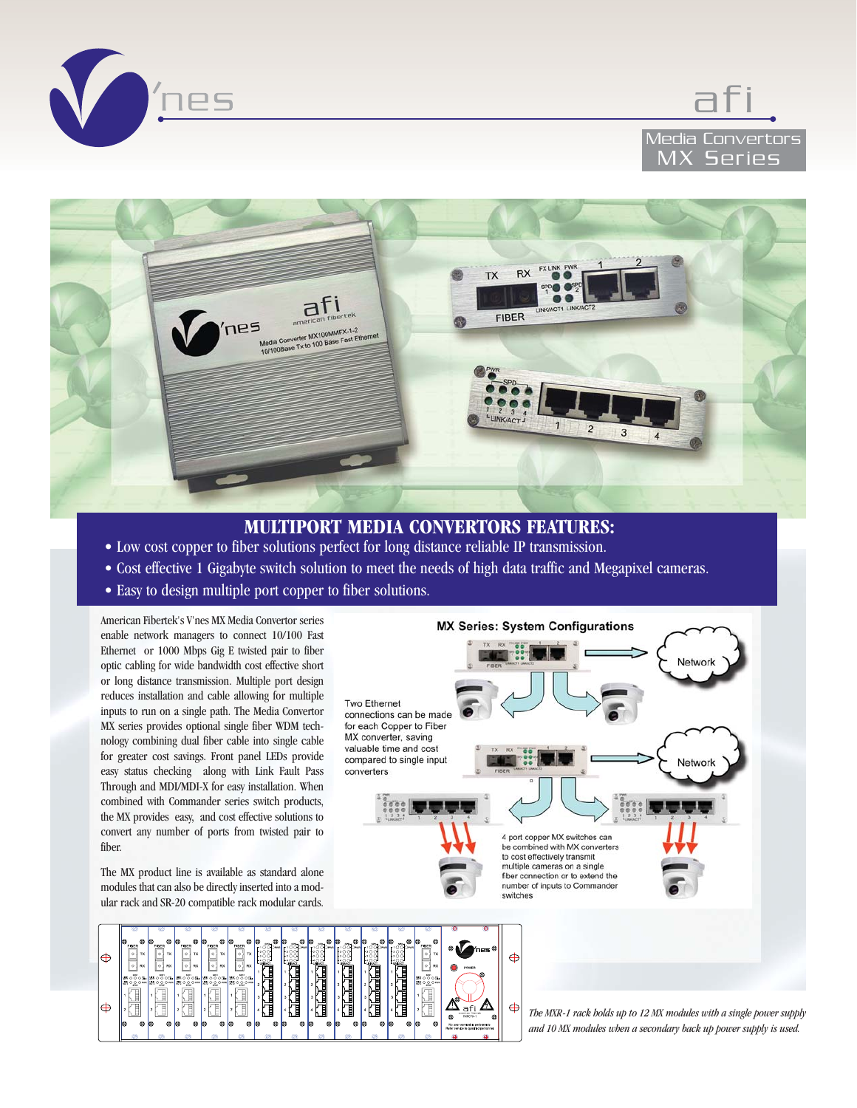





# **MULTIPORT MEDIA CONVERTORS FEATURES:**

- Low cost copper to fiber solutions perfect for long distance reliable IP transmission.
- Cost effective 1 Gigabyte switch solution to meet the needs of high data traffic and Megapixel cameras.
- Easy to design multiple port copper to fiber solutions.

American Fibertek's V'nes MX Media Convertor series enable network managers to connect 10/100 Fast Ethernet or 1000 Mbps Gig E twisted pair to fiber optic cabling for wide bandwidth cost effective short or long distance transmission. Multiple port design reduces installation and cable allowing for multiple inputs to run on a single path. The Media Convertor MX series provides optional single fiber WDM technology combining dual fiber cable into single cable for greater cost savings. Front panel LEDs provide easy status checking along with Link Fault Pass Through and MDI/MDI-X for easy installation. When combined with Commander series switch products, the MX provides easy, and cost effective solutions to convert any number of ports from twisted pair to fiber.

The MX product line is available as standard alone modules that can also be directly inserted into a modular rack and SR-20 compatible rack modular cards.

<u>File</u>

רוב<br>הערב<br>ה

… ဝဝဳဝး<br>… ဝဝဝ

€

 $\oplus$ 



 $\oplus$ 

*The MXR-1 rack holds up to 12 MX modules with a single power supply and 10 MX modules when a secondary back up power supply is used.*